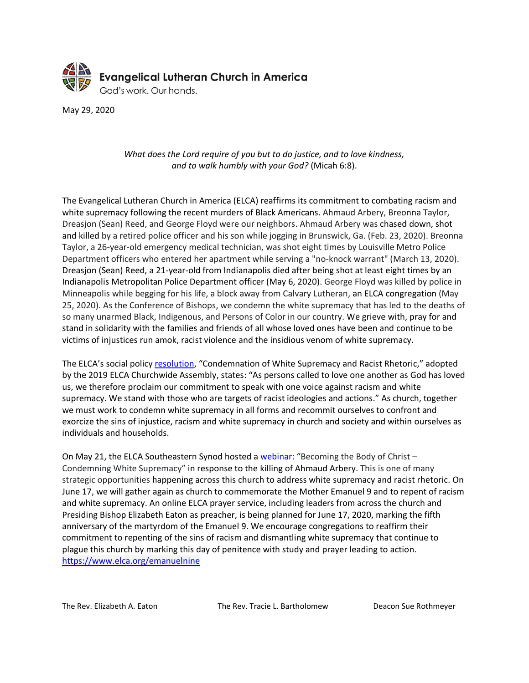

May 29, 2020

## *What does the Lord require of you but to do justice, and to love kindness, and to walk humbly with your God?* (Micah 6:8).

The Evangelical Lutheran Church in America (ELCA) reaffirms its commitment to combating racism and white supremacy following the recent murders of Black Americans. Ahmaud Arbery, Breonna Taylor, Dreasjon (Sean) Reed, and George Floyd were our neighbors. Ahmaud Arbery was chased down, shot and killed by a retired police officer and his son while jogging in Brunswick, Ga. (Feb. 23, 2020). Breonna Taylor, a 26-year-old emergency medical technician, was shot eight times by Louisville Metro Police Department officers who entered her apartment while serving a "no-knock warrant" (March 13, 2020). Dreasjon (Sean) Reed, a 21-year-old from Indianapolis died after being shot at least eight times by an Indianapolis Metropolitan Police Department officer (May 6, 2020). George Floyd was killed by police in Minneapolis while begging for his life, a block away from Calvary Lutheran, an ELCA congregation (May 25, 2020). As the Conference of Bishops, we condemn the white supremacy that has led to the deaths of so many unarmed Black, Indigenous, and Persons of Color in our country. We grieve with, pray for and stand in solidarity with the families and friends of all whose loved ones have been and continue to be victims of injustices run amok, racist violence and the insidious venom of white supremacy.

The ELCA's social policy [resolution,](https://download.elca.org/ELCA%20Resource%20Repository/Condemnation_of_White_Supremacy_and_Racist_Rhetoric.pdf?_ga=2.203569043.221586474.1590507628-706161550.1552512868) "Condemnation of White Supremacy and Racist Rhetoric," adopted by the 2019 ELCA Churchwide Assembly, states: "As persons called to love one another as God has loved us, we therefore proclaim our commitment to speak with one voice against racism and white supremacy. We stand with those who are targets of racist ideologies and actions." As church, together we must work to condemn white supremacy in all forms and recommit ourselves to confront and exorcize the sins of injustice, racism and white supremacy in church and society and within ourselves as individuals and households.

On May 21, the ELCA Southeastern Synod hosted a [webinar:](https://www.youtube.com/watch?v=LAatEgzrSnA) "Becoming the Body of Christ – Condemning White Supremacy" in response to the killing of Ahmaud Arbery. This is one of many strategic opportunities happening across this church to address white supremacy and racist rhetoric. On June 17, we will gather again as church to commemorate the Mother Emanuel 9 and to repent of racism and white supremacy. An online ELCA prayer service, including leaders from across the church and Presiding Bishop Elizabeth Eaton as preacher, is being planned for June 17, 2020, marking the fifth anniversary of the martyrdom of the Emanuel 9. We encourage congregations to reaffirm their commitment to repenting of the sins of racism and dismantling white supremacy that continue to plague this church by marking this day of penitence with study and prayer leading to action. <https://www.elca.org/emanuelnine>

The Rev. Elizabeth A. Eaton The Rev. Tracie L. Bartholomew Deacon Sue Rothmeyer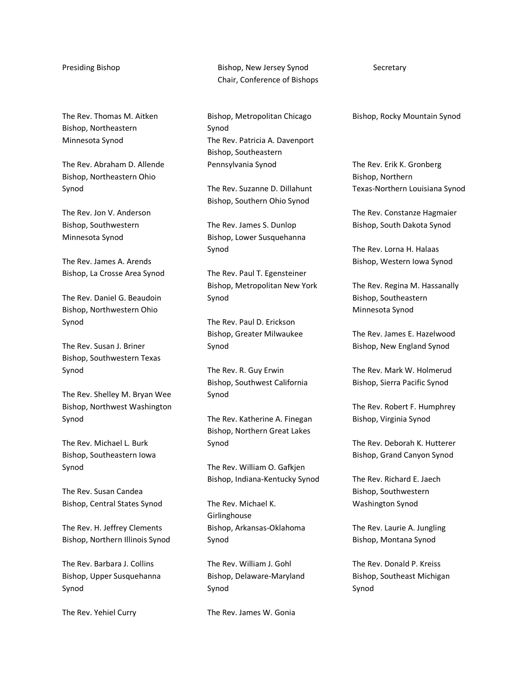The Rev. Thomas M. Aitken Bishop, Northeastern Minnesota Synod

The Rev. Abraham D. Allende Bishop, Northeastern Ohio Synod

The Rev. Jon V. Anderson Bishop, Southwestern Minnesota Synod

The Rev. James A. Arends Bishop, La Crosse Area Synod

The Rev. Daniel G. Beaudoin Bishop, Northwestern Ohio Synod

The Rev. Susan J. Briner Bishop, Southwestern Texas Synod

The Rev. Shelley M. Bryan Wee Bishop, Northwest Washington Synod

The Rev. Michael L. Burk Bishop, Southeastern Iowa Synod

The Rev. Susan Candea Bishop, Central States Synod

The Rev. H. Jeffrey Clements Bishop, Northern Illinois Synod

The Rev. Barbara J. Collins Bishop, Upper Susquehanna Synod

The Rev. Yehiel Curry

Presiding Bishop **Bishop, New Jersey Synod** Secretary Chair, Conference of Bishops

> Bishop, Metropolitan Chicago Synod The Rev. Patricia A. Davenport Bishop, Southeastern Pennsylvania Synod

The Rev. Suzanne D. Dillahunt Bishop, Southern Ohio Synod

The Rev. James S. Dunlop Bishop, Lower Susquehanna Synod

The Rev. Paul T. Egensteiner Bishop, Metropolitan New York Synod

The Rev. Paul D. Erickson Bishop, Greater Milwaukee Synod

The Rev. R. Guy Erwin Bishop, Southwest California Synod

The Rev. Katherine A. Finegan Bishop, Northern Great Lakes Synod

The Rev. William O. Gafkjen Bishop, Indiana-Kentucky Synod

The Rev. Michael K. Girlinghouse Bishop, Arkansas-Oklahoma Synod

The Rev. William J. Gohl Bishop, Delaware-Maryland Synod

The Rev. James W. Gonia

Bishop, Rocky Mountain Synod

The Rev. Erik K. Gronberg Bishop, Northern Texas-Northern Louisiana Synod

The Rev. Constanze Hagmaier Bishop, South Dakota Synod

The Rev. Lorna H. Halaas Bishop, Western Iowa Synod

The Rev. Regina M. Hassanally Bishop, Southeastern Minnesota Synod

The Rev. James E. Hazelwood Bishop, New England Synod

The Rev. Mark W. Holmerud Bishop, Sierra Pacific Synod

The Rev. Robert F. Humphrey Bishop, Virginia Synod

The Rev. Deborah K. Hutterer Bishop, Grand Canyon Synod

The Rev. Richard E. Jaech Bishop, Southwestern Washington Synod

The Rev. Laurie A. Jungling Bishop, Montana Synod

The Rev. Donald P. Kreiss Bishop, Southeast Michigan Synod